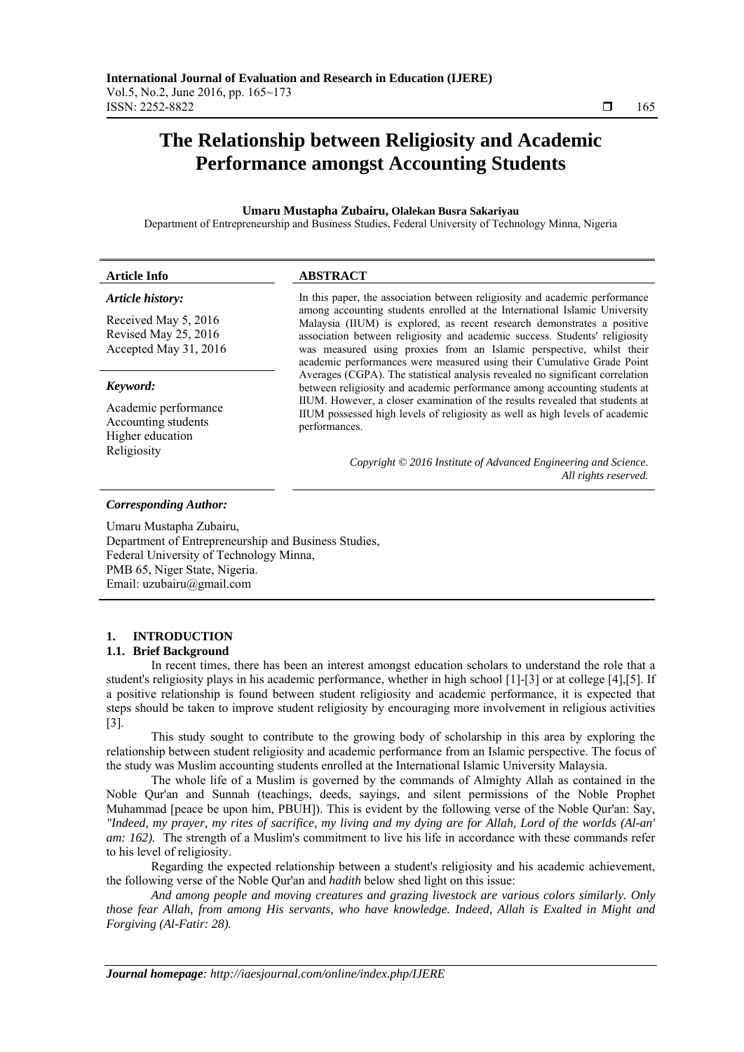# **The Relationship between Religiosity and Academic Performance amongst Accounting Students**

#### **Umaru Mustapha Zubairu, Olalekan Busra Sakariyau**

Department of Entrepreneurship and Business Studies, Federal University of Technology Minna, Nigeria

| <b>Article Info</b>                                                            | <b>ABSTRACT</b>                                                                                                                                                               |
|--------------------------------------------------------------------------------|-------------------------------------------------------------------------------------------------------------------------------------------------------------------------------|
| Article history:                                                               | In this paper, the association between religiosity and academic performance                                                                                                   |
| Received May 5, 2016                                                           | among accounting students enrolled at the International Islamic University<br>Malaysia (IIUM) is explored, as recent research demonstrates a positive                         |
| Revised May 25, 2016                                                           | association between religiosity and academic success. Students' religiosity                                                                                                   |
| Accepted May 31, 2016                                                          | was measured using proxies from an Islamic perspective, whilst their<br>academic performances were measured using their Cumulative Grade Point                                |
| Keyword:                                                                       | Averages (CGPA). The statistical analysis revealed no significant correlation<br>between religiosity and academic performance among accounting students at                    |
| Academic performance<br>Accounting students<br>Higher education<br>Religiosity | IIUM. However, a closer examination of the results revealed that students at<br>IIUM possessed high levels of religiosity as well as high levels of academic<br>performances. |
|                                                                                | Copyright © 2016 Institute of Advanced Engineering and Science.<br>All rights reserved.                                                                                       |

#### *Corresponding Author:*

Umaru Mustapha Zubairu, Department of Entrepreneurship and Business Studies, Federal University of Technology Minna, PMB 65, Niger State, Nigeria. Email: uzubairu@gmail.com

# **1. INTRODUCTION**

## **1.1. Brief Background**

In recent times, there has been an interest amongst education scholars to understand the role that a student's religiosity plays in his academic performance, whether in high school [1]-[3] or at college [4],[5]. If a positive relationship is found between student religiosity and academic performance, it is expected that steps should be taken to improve student religiosity by encouraging more involvement in religious activities [3].

This study sought to contribute to the growing body of scholarship in this area by exploring the relationship between student religiosity and academic performance from an Islamic perspective. The focus of the study was Muslim accounting students enrolled at the International Islamic University Malaysia.

The whole life of a Muslim is governed by the commands of Almighty Allah as contained in the Noble Qur'an and Sunnah (teachings, deeds, sayings, and silent permissions of the Noble Prophet Muhammad [peace be upon him, PBUH]). This is evident by the following verse of the Noble Qur'an: Say, *"Indeed, my prayer, my rites of sacrifice, my living and my dying are for Allah, Lord of the worlds (Al-an' am: 162).* The strength of a Muslim's commitment to live his life in accordance with these commands refer to his level of religiosity.

Regarding the expected relationship between a student's religiosity and his academic achievement, the following verse of the Noble Qur'an and *hadith* below shed light on this issue:

*And among people and moving creatures and grazing livestock are various colors similarly. Only those fear Allah, from among His servants, who have knowledge. Indeed, Allah is Exalted in Might and Forgiving (Al-Fatir: 28).* 

ֺֺ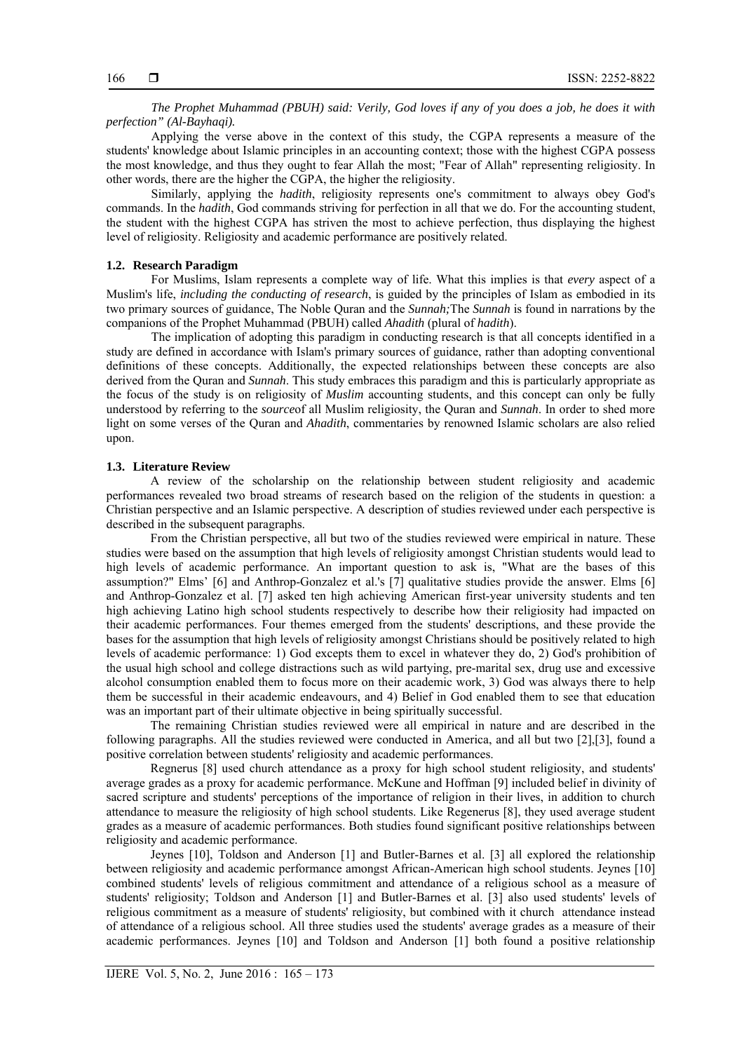*The Prophet Muhammad (PBUH) said: Verily, God loves if any of you does a job, he does it with perfection" (Al-Bayhaqi).* 

Applying the verse above in the context of this study, the CGPA represents a measure of the students' knowledge about Islamic principles in an accounting context; those with the highest CGPA possess the most knowledge, and thus they ought to fear Allah the most; "Fear of Allah" representing religiosity. In other words, there are the higher the CGPA, the higher the religiosity.

Similarly, applying the *hadith*, religiosity represents one's commitment to always obey God's commands. In the *hadith*, God commands striving for perfection in all that we do. For the accounting student, the student with the highest CGPA has striven the most to achieve perfection, thus displaying the highest level of religiosity. Religiosity and academic performance are positively related.

### **1.2. Research Paradigm**

For Muslims, Islam represents a complete way of life. What this implies is that *every* aspect of a Muslim's life, *including the conducting of research*, is guided by the principles of Islam as embodied in its two primary sources of guidance, The Noble Quran and the *Sunnah;*The *Sunnah* is found in narrations by the companions of the Prophet Muhammad (PBUH) called *Ahadith* (plural of *hadith*).

The implication of adopting this paradigm in conducting research is that all concepts identified in a study are defined in accordance with Islam's primary sources of guidance, rather than adopting conventional definitions of these concepts. Additionally, the expected relationships between these concepts are also derived from the Quran and *Sunnah*. This study embraces this paradigm and this is particularly appropriate as the focus of the study is on religiosity of *Muslim* accounting students, and this concept can only be fully understood by referring to the *source*of all Muslim religiosity, the Quran and *Sunnah*. In order to shed more light on some verses of the Quran and *Ahadith*, commentaries by renowned Islamic scholars are also relied upon.

#### **1.3. Literature Review**

A review of the scholarship on the relationship between student religiosity and academic performances revealed two broad streams of research based on the religion of the students in question: a Christian perspective and an Islamic perspective. A description of studies reviewed under each perspective is described in the subsequent paragraphs.

From the Christian perspective, all but two of the studies reviewed were empirical in nature. These studies were based on the assumption that high levels of religiosity amongst Christian students would lead to high levels of academic performance. An important question to ask is, "What are the bases of this assumption?" Elms' [6] and Anthrop-Gonzalez et al.'s [7] qualitative studies provide the answer. Elms [6] and Anthrop-Gonzalez et al. [7] asked ten high achieving American first-year university students and ten high achieving Latino high school students respectively to describe how their religiosity had impacted on their academic performances. Four themes emerged from the students' descriptions, and these provide the bases for the assumption that high levels of religiosity amongst Christians should be positively related to high levels of academic performance: 1) God excepts them to excel in whatever they do, 2) God's prohibition of the usual high school and college distractions such as wild partying, pre-marital sex, drug use and excessive alcohol consumption enabled them to focus more on their academic work, 3) God was always there to help them be successful in their academic endeavours, and 4) Belief in God enabled them to see that education was an important part of their ultimate objective in being spiritually successful.

The remaining Christian studies reviewed were all empirical in nature and are described in the following paragraphs. All the studies reviewed were conducted in America, and all but two [2],[3], found a positive correlation between students' religiosity and academic performances.

Regnerus [8] used church attendance as a proxy for high school student religiosity, and students' average grades as a proxy for academic performance. McKune and Hoffman [9] included belief in divinity of sacred scripture and students' perceptions of the importance of religion in their lives, in addition to church attendance to measure the religiosity of high school students. Like Regenerus [8], they used average student grades as a measure of academic performances. Both studies found significant positive relationships between religiosity and academic performance.

Jeynes [10], Toldson and Anderson [1] and Butler-Barnes et al. [3] all explored the relationship between religiosity and academic performance amongst African-American high school students. Jeynes [10] combined students' levels of religious commitment and attendance of a religious school as a measure of students' religiosity; Toldson and Anderson [1] and Butler-Barnes et al. [3] also used students' levels of religious commitment as a measure of students' religiosity, but combined with it church attendance instead of attendance of a religious school. All three studies used the students' average grades as a measure of their academic performances. Jeynes [10] and Toldson and Anderson [1] both found a positive relationship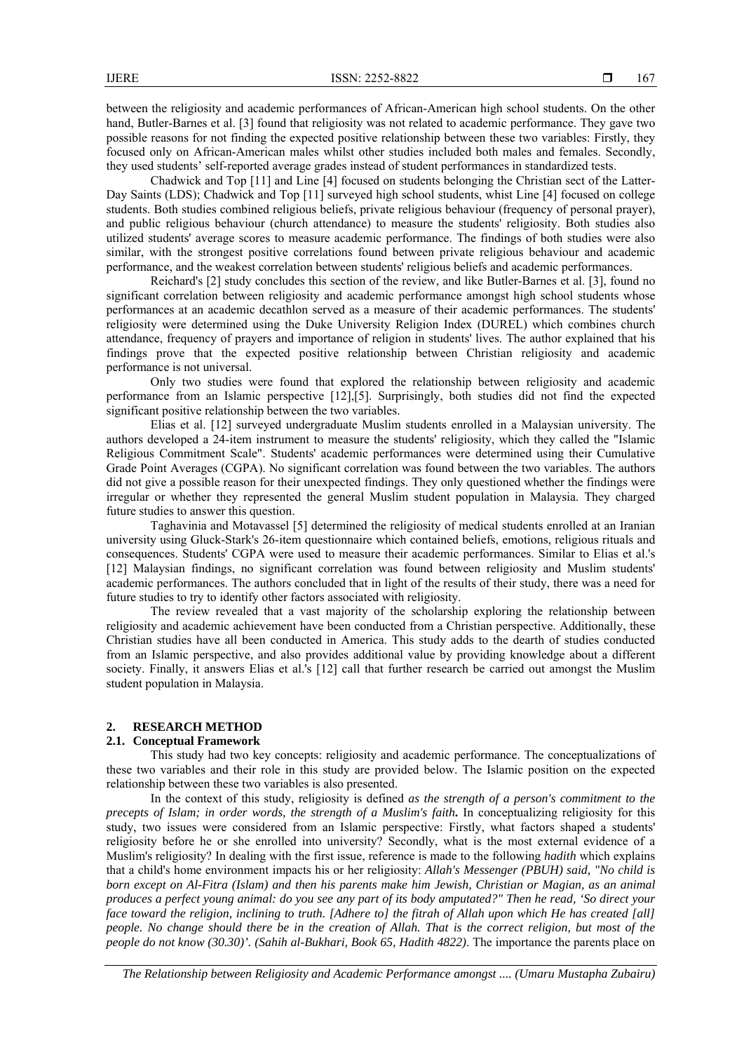between the religiosity and academic performances of African-American high school students. On the other hand, Butler-Barnes et al. [3] found that religiosity was not related to academic performance. They gave two possible reasons for not finding the expected positive relationship between these two variables: Firstly, they focused only on African-American males whilst other studies included both males and females. Secondly, they used students' self-reported average grades instead of student performances in standardized tests.

Chadwick and Top [11] and Line [4] focused on students belonging the Christian sect of the Latter-Day Saints (LDS); Chadwick and Top [11] surveyed high school students, whist Line [4] focused on college students. Both studies combined religious beliefs, private religious behaviour (frequency of personal prayer), and public religious behaviour (church attendance) to measure the students' religiosity. Both studies also utilized students' average scores to measure academic performance. The findings of both studies were also similar, with the strongest positive correlations found between private religious behaviour and academic performance, and the weakest correlation between students' religious beliefs and academic performances.

Reichard's [2] study concludes this section of the review, and like Butler-Barnes et al. [3], found no significant correlation between religiosity and academic performance amongst high school students whose performances at an academic decathlon served as a measure of their academic performances. The students' religiosity were determined using the Duke University Religion Index (DUREL) which combines church attendance, frequency of prayers and importance of religion in students' lives. The author explained that his findings prove that the expected positive relationship between Christian religiosity and academic performance is not universal.

Only two studies were found that explored the relationship between religiosity and academic performance from an Islamic perspective [12],[5]. Surprisingly, both studies did not find the expected significant positive relationship between the two variables.

Elias et al. [12] surveyed undergraduate Muslim students enrolled in a Malaysian university. The authors developed a 24-item instrument to measure the students' religiosity, which they called the "Islamic Religious Commitment Scale". Students' academic performances were determined using their Cumulative Grade Point Averages (CGPA). No significant correlation was found between the two variables. The authors did not give a possible reason for their unexpected findings. They only questioned whether the findings were irregular or whether they represented the general Muslim student population in Malaysia. They charged future studies to answer this question.

Taghavinia and Motavassel [5] determined the religiosity of medical students enrolled at an Iranian university using Gluck-Stark's 26-item questionnaire which contained beliefs, emotions, religious rituals and consequences. Students' CGPA were used to measure their academic performances. Similar to Elias et al.'s [12] Malaysian findings, no significant correlation was found between religiosity and Muslim students' academic performances. The authors concluded that in light of the results of their study, there was a need for future studies to try to identify other factors associated with religiosity.

The review revealed that a vast majority of the scholarship exploring the relationship between religiosity and academic achievement have been conducted from a Christian perspective. Additionally, these Christian studies have all been conducted in America. This study adds to the dearth of studies conducted from an Islamic perspective, and also provides additional value by providing knowledge about a different society. Finally, it answers Elias et al.'s [12] call that further research be carried out amongst the Muslim student population in Malaysia.

#### **2. RESEARCH METHOD**

#### **2.1. Conceptual Framework**

This study had two key concepts: religiosity and academic performance. The conceptualizations of these two variables and their role in this study are provided below. The Islamic position on the expected relationship between these two variables is also presented.

In the context of this study, religiosity is defined *as the strength of a person's commitment to the precepts of Islam; in order words, the strength of a Muslim's faith***.** In conceptualizing religiosity for this study, two issues were considered from an Islamic perspective: Firstly, what factors shaped a students' religiosity before he or she enrolled into university? Secondly, what is the most external evidence of a Muslim's religiosity? In dealing with the first issue, reference is made to the following *hadith* which explains that a child's home environment impacts his or her religiosity: *Allah's Messenger (PBUH) said, "No child is born except on Al-Fitra (Islam) and then his parents make him Jewish, Christian or Magian, as an animal produces a perfect young animal: do you see any part of its body amputated?" Then he read, 'So direct your face toward the religion, inclining to truth. [Adhere to] the fitrah of Allah upon which He has created [all] people. No change should there be in the creation of Allah. That is the correct religion, but most of the people do not know (30.30)'. (Sahih al-Bukhari, Book 65, Hadith 4822)*. The importance the parents place on

*The Relationship between Religiosity and Academic Performance amongst .... (Umaru Mustapha Zubairu)*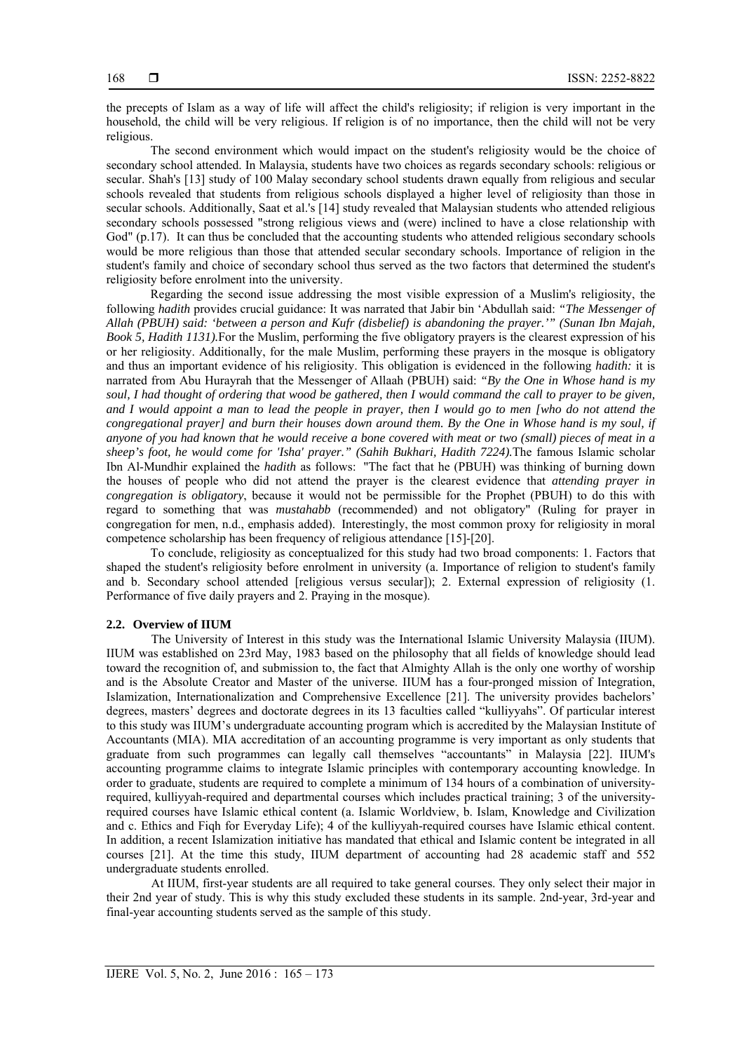the precepts of Islam as a way of life will affect the child's religiosity; if religion is very important in the household, the child will be very religious. If religion is of no importance, then the child will not be very religious.

The second environment which would impact on the student's religiosity would be the choice of secondary school attended. In Malaysia, students have two choices as regards secondary schools: religious or secular. Shah's [13] study of 100 Malay secondary school students drawn equally from religious and secular schools revealed that students from religious schools displayed a higher level of religiosity than those in secular schools. Additionally, Saat et al.'s [14] study revealed that Malaysian students who attended religious secondary schools possessed "strong religious views and (were) inclined to have a close relationship with God" (p.17). It can thus be concluded that the accounting students who attended religious secondary schools would be more religious than those that attended secular secondary schools. Importance of religion in the student's family and choice of secondary school thus served as the two factors that determined the student's religiosity before enrolment into the university.

Regarding the second issue addressing the most visible expression of a Muslim's religiosity, the following *hadith* provides crucial guidance: It was narrated that Jabir bin 'Abdullah said: *"The Messenger of Allah (PBUH) said: 'between a person and Kufr (disbelief) is abandoning the prayer.'" (Sunan Ibn Majah, Book 5, Hadith 1131).*For the Muslim, performing the five obligatory prayers is the clearest expression of his or her religiosity. Additionally, for the male Muslim, performing these prayers in the mosque is obligatory and thus an important evidence of his religiosity. This obligation is evidenced in the following *hadith:* it is narrated from Abu Hurayrah that the Messenger of Allaah (PBUH) said: *"By the One in Whose hand is my*  soul, I had thought of ordering that wood be gathered, then I would command the call to prayer to be given, *and I would appoint a man to lead the people in prayer, then I would go to men [who do not attend the congregational prayer] and burn their houses down around them. By the One in Whose hand is my soul, if anyone of you had known that he would receive a bone covered with meat or two (small) pieces of meat in a sheep's foot, he would come for 'Isha' prayer." (Sahih Bukhari, Hadith 7224).*The famous Islamic scholar Ibn Al-Mundhir explained the *hadith* as follows: "The fact that he (PBUH) was thinking of burning down the houses of people who did not attend the prayer is the clearest evidence that *attending prayer in congregation is obligatory*, because it would not be permissible for the Prophet (PBUH) to do this with regard to something that was *mustahabb* (recommended) and not obligatory" (Ruling for prayer in congregation for men, n.d., emphasis added). Interestingly, the most common proxy for religiosity in moral competence scholarship has been frequency of religious attendance [15]-[20].

To conclude, religiosity as conceptualized for this study had two broad components: 1. Factors that shaped the student's religiosity before enrolment in university (a. Importance of religion to student's family and b. Secondary school attended [religious versus secular]); 2. External expression of religiosity (1. Performance of five daily prayers and 2. Praying in the mosque).

#### **2.2. Overview of IIUM**

The University of Interest in this study was the International Islamic University Malaysia (IIUM). IIUM was established on 23rd May, 1983 based on the philosophy that all fields of knowledge should lead toward the recognition of, and submission to, the fact that Almighty Allah is the only one worthy of worship and is the Absolute Creator and Master of the universe. IIUM has a four-pronged mission of Integration, Islamization, Internationalization and Comprehensive Excellence [21]. The university provides bachelors' degrees, masters' degrees and doctorate degrees in its 13 faculties called "kulliyyahs". Of particular interest to this study was IIUM's undergraduate accounting program which is accredited by the Malaysian Institute of Accountants (MIA). MIA accreditation of an accounting programme is very important as only students that graduate from such programmes can legally call themselves "accountants" in Malaysia [22]. IIUM's accounting programme claims to integrate Islamic principles with contemporary accounting knowledge. In order to graduate, students are required to complete a minimum of 134 hours of a combination of universityrequired, kulliyyah-required and departmental courses which includes practical training; 3 of the universityrequired courses have Islamic ethical content (a. Islamic Worldview, b. Islam, Knowledge and Civilization and c. Ethics and Fiqh for Everyday Life); 4 of the kulliyyah-required courses have Islamic ethical content. In addition, a recent Islamization initiative has mandated that ethical and Islamic content be integrated in all courses [21]. At the time this study, IIUM department of accounting had 28 academic staff and 552 undergraduate students enrolled.

At IIUM, first-year students are all required to take general courses. They only select their major in their 2nd year of study. This is why this study excluded these students in its sample. 2nd-year, 3rd-year and final-year accounting students served as the sample of this study.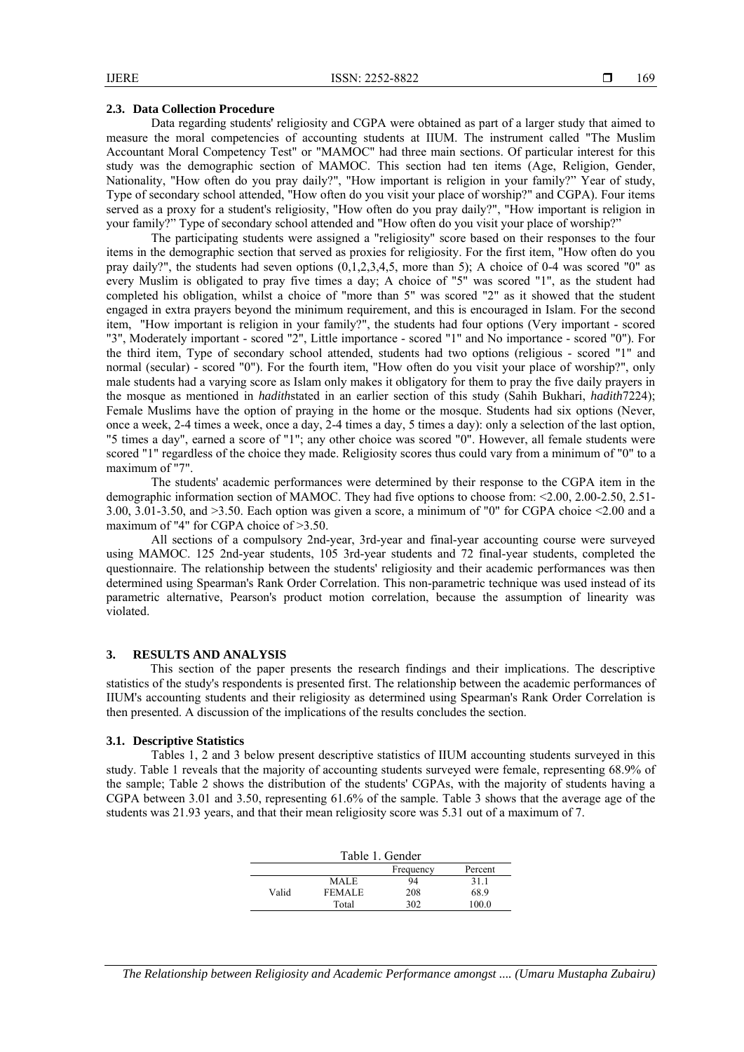#### **2.3. Data Collection Procedure**

Data regarding students' religiosity and CGPA were obtained as part of a larger study that aimed to measure the moral competencies of accounting students at IIUM. The instrument called "The Muslim Accountant Moral Competency Test" or "MAMOC" had three main sections. Of particular interest for this study was the demographic section of MAMOC. This section had ten items (Age, Religion, Gender, Nationality, "How often do you pray daily?", "How important is religion in your family?" Year of study, Type of secondary school attended, "How often do you visit your place of worship?" and CGPA). Four items served as a proxy for a student's religiosity, "How often do you pray daily?", "How important is religion in your family?" Type of secondary school attended and "How often do you visit your place of worship?"

The participating students were assigned a "religiosity" score based on their responses to the four items in the demographic section that served as proxies for religiosity. For the first item, "How often do you pray daily?", the students had seven options (0,1,2,3,4,5, more than 5); A choice of 0-4 was scored "0" as every Muslim is obligated to pray five times a day; A choice of "5" was scored "1", as the student had completed his obligation, whilst a choice of "more than 5" was scored "2" as it showed that the student engaged in extra prayers beyond the minimum requirement, and this is encouraged in Islam. For the second item, "How important is religion in your family?", the students had four options (Very important - scored "3", Moderately important - scored "2", Little importance - scored "1" and No importance - scored "0"). For the third item, Type of secondary school attended, students had two options (religious - scored "1" and normal (secular) - scored "0"). For the fourth item, "How often do you visit your place of worship?", only male students had a varying score as Islam only makes it obligatory for them to pray the five daily prayers in the mosque as mentioned in *hadith*stated in an earlier section of this study (Sahih Bukhari, *hadith*7224); Female Muslims have the option of praying in the home or the mosque. Students had six options (Never, once a week, 2-4 times a week, once a day, 2-4 times a day, 5 times a day): only a selection of the last option, "5 times a day", earned a score of "1"; any other choice was scored "0". However, all female students were scored "1" regardless of the choice they made. Religiosity scores thus could vary from a minimum of "0" to a maximum of "7".

The students' academic performances were determined by their response to the CGPA item in the demographic information section of MAMOC. They had five options to choose from: <2.00, 2.00-2.50, 2.51- 3.00, 3.01-3.50, and >3.50. Each option was given a score, a minimum of "0" for CGPA choice <2.00 and a maximum of "4" for CGPA choice of >3.50.

All sections of a compulsory 2nd-year, 3rd-year and final-year accounting course were surveyed using MAMOC. 125 2nd-year students, 105 3rd-year students and 72 final-year students, completed the questionnaire. The relationship between the students' religiosity and their academic performances was then determined using Spearman's Rank Order Correlation. This non-parametric technique was used instead of its parametric alternative, Pearson's product motion correlation, because the assumption of linearity was violated.

#### **3. RESULTS AND ANALYSIS**

This section of the paper presents the research findings and their implications. The descriptive statistics of the study's respondents is presented first. The relationship between the academic performances of IIUM's accounting students and their religiosity as determined using Spearman's Rank Order Correlation is then presented. A discussion of the implications of the results concludes the section.

#### **3.1. Descriptive Statistics**

Tables 1, 2 and 3 below present descriptive statistics of IIUM accounting students surveyed in this study. Table 1 reveals that the majority of accounting students surveyed were female, representing 68.9% of the sample; Table 2 shows the distribution of the students' CGPAs, with the majority of students having a CGPA between 3.01 and 3.50, representing 61.6% of the sample. Table 3 shows that the average age of the students was 21.93 years, and that their mean religiosity score was 5.31 out of a maximum of 7.

| Table 1. Gender      |               |     |       |  |
|----------------------|---------------|-----|-------|--|
| Percent<br>Frequency |               |     |       |  |
|                      | <b>MALE</b>   | 94  | 31.1  |  |
| Valid                | <b>FEMALE</b> | 208 | 68.9  |  |
|                      | Total         | 302 | 100.0 |  |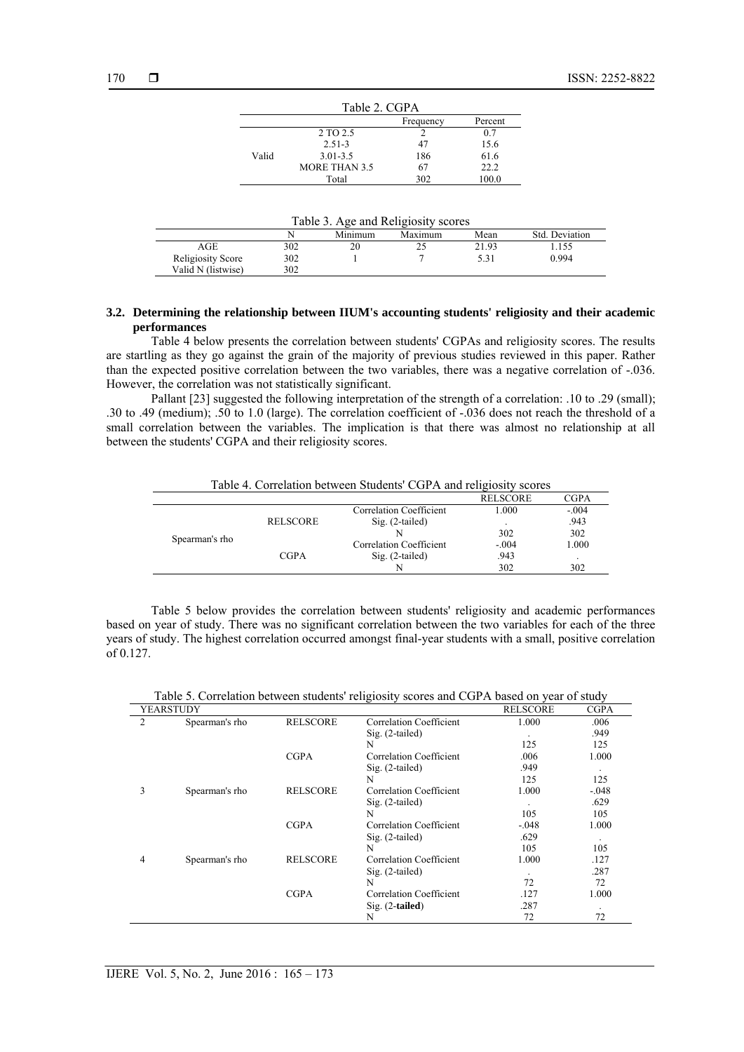| Table 2. CGPA        |                      |     |       |  |
|----------------------|----------------------|-----|-------|--|
| Percent<br>Frequency |                      |     |       |  |
|                      | 2 TO 2.5             |     | 0.7   |  |
|                      | $2.51 - 3$           | 47  | 15.6  |  |
| Valid                | 3.01-3.5             | 186 | 61.6  |  |
|                      | <b>MORE THAN 3.5</b> | 67  | 22.2  |  |
|                      | Total                | 302 | 100.0 |  |

|  | Table 3. Age and Religiosity scores |  |
|--|-------------------------------------|--|
|--|-------------------------------------|--|

|                    |     | Minimum | Maximum | Mean  | Std. Deviation |
|--------------------|-----|---------|---------|-------|----------------|
| AGE                | 302 | 20      | ل کے    | 21.93 | 1.155          |
| Religiosity Score  | 302 |         |         | 5.31  | 0.994          |
| Valid N (listwise) | 302 |         |         |       |                |

#### **3.2. Determining the relationship between IIUM's accounting students' religiosity and their academic performances**

Table 4 below presents the correlation between students' CGPAs and religiosity scores. The results are startling as they go against the grain of the majority of previous studies reviewed in this paper. Rather than the expected positive correlation between the two variables, there was a negative correlation of -.036. However, the correlation was not statistically significant.

Pallant [23] suggested the following interpretation of the strength of a correlation: .10 to .29 (small); .30 to .49 (medium); .50 to 1.0 (large). The correlation coefficient of -.036 does not reach the threshold of a small correlation between the variables. The implication is that there was almost no relationship at all between the students' CGPA and their religiosity scores.

| Table 4. Correlation between Students' CGPA and religiosity scores |                         |                 |             |  |
|--------------------------------------------------------------------|-------------------------|-----------------|-------------|--|
|                                                                    |                         | <b>RELSCORE</b> | <b>CGPA</b> |  |
|                                                                    | Correlation Coefficient | 1.000           | $-.004$     |  |
| <b>RELSCORE</b>                                                    | $Sig. (2-tailed)$       |                 | .943        |  |
|                                                                    |                         | 302             | 302         |  |
| <b>CGPA</b>                                                        | Correlation Coefficient | $-.004$         | 1.000       |  |
|                                                                    | $Sig. (2-tailed)$       | .943            |             |  |
|                                                                    |                         | 302             | 302         |  |
|                                                                    |                         |                 |             |  |

Table 5 below provides the correlation between students' religiosity and academic performances based on year of study. There was no significant correlation between the two variables for each of the three years of study. The highest correlation occurred amongst final-year students with a small, positive correlation  $of 0.127.$ 

|   | YEARSTUDY      |                 |                                | <b>RELSCORE</b>      | <b>CGPA</b> |
|---|----------------|-----------------|--------------------------------|----------------------|-------------|
| 2 | Spearman's rho | <b>RELSCORE</b> | <b>Correlation Coefficient</b> | 1.000                | .006        |
|   |                |                 | $Sig. (2-tailed)$              |                      | .949        |
|   |                |                 | N                              | 125                  | 125         |
|   |                | <b>CGPA</b>     | Correlation Coefficient        | .006                 | 1.000       |
|   |                |                 | $Sig. (2-tailed)$              | .949                 |             |
|   |                |                 | N                              | 125                  | 125         |
| 3 | Spearman's rho | <b>RELSCORE</b> | Correlation Coefficient        | 1.000                | $-.048$     |
|   |                |                 | Sig. (2-tailed)                |                      | .629        |
|   |                |                 | N                              | 105                  | 105         |
|   |                | <b>CGPA</b>     | Correlation Coefficient        | $-.048$              | 1.000       |
|   |                |                 | $Sig. (2-tailed)$              | .629                 |             |
|   |                |                 | N                              | 105                  | 105         |
| 4 | Spearman's rho | <b>RELSCORE</b> | Correlation Coefficient        | 1.000                | .127        |
|   |                |                 | $Sig. (2-tailed)$              | $\ddot{\phantom{0}}$ | .287        |
|   |                |                 | N                              | 72                   | 72          |
|   |                | <b>CGPA</b>     | Correlation Coefficient        | .127                 | 1.000       |
|   |                |                 | $Sig. (2-tailed)$              | .287                 |             |
|   |                |                 | N                              | 72                   | 72          |
|   |                |                 |                                |                      |             |

Table 5. Correlation between students' religiosity scores and CGPA based on year of study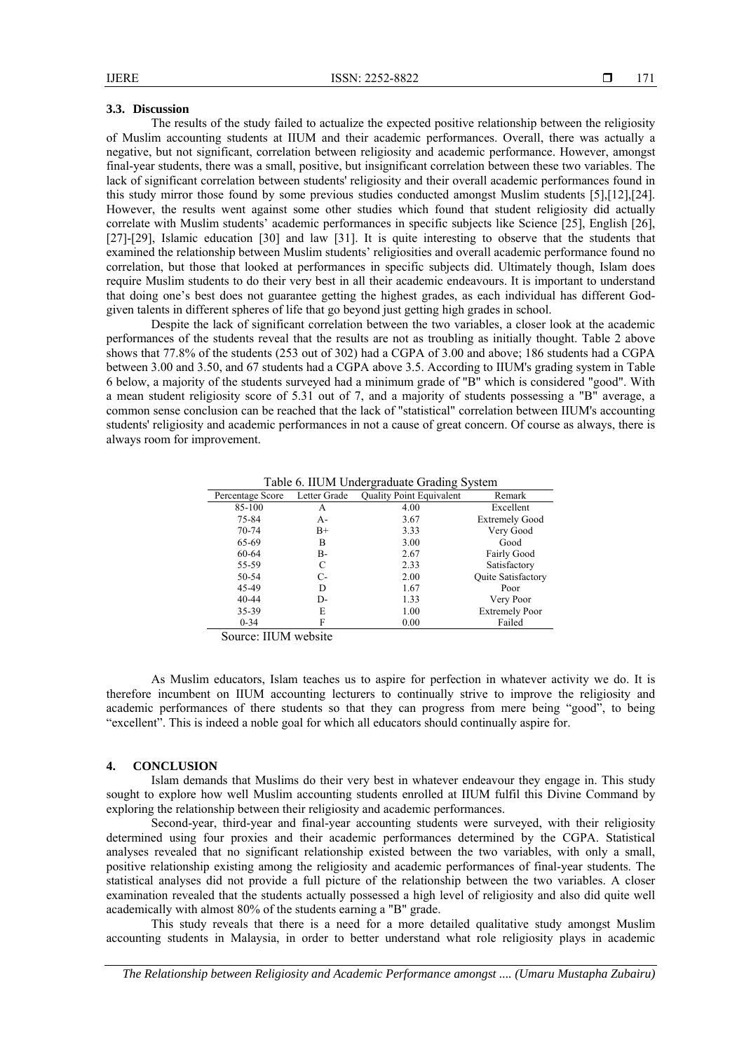#### **3.3. Discussion**

The results of the study failed to actualize the expected positive relationship between the religiosity of Muslim accounting students at IIUM and their academic performances. Overall, there was actually a negative, but not significant, correlation between religiosity and academic performance. However, amongst final-year students, there was a small, positive, but insignificant correlation between these two variables. The lack of significant correlation between students' religiosity and their overall academic performances found in this study mirror those found by some previous studies conducted amongst Muslim students [5],[12],[24]. However, the results went against some other studies which found that student religiosity did actually correlate with Muslim students' academic performances in specific subjects like Science [25], English [26], [27]-[29], Islamic education [30] and law [31]. It is quite interesting to observe that the students that examined the relationship between Muslim students' religiosities and overall academic performance found no correlation, but those that looked at performances in specific subjects did. Ultimately though, Islam does require Muslim students to do their very best in all their academic endeavours. It is important to understand that doing one's best does not guarantee getting the highest grades, as each individual has different Godgiven talents in different spheres of life that go beyond just getting high grades in school.

Despite the lack of significant correlation between the two variables, a closer look at the academic performances of the students reveal that the results are not as troubling as initially thought. Table 2 above shows that 77.8% of the students (253 out of 302) had a CGPA of 3.00 and above; 186 students had a CGPA between 3.00 and 3.50, and 67 students had a CGPA above 3.5. According to IIUM's grading system in Table 6 below, a majority of the students surveyed had a minimum grade of "B" which is considered "good". With a mean student religiosity score of 5.31 out of 7, and a majority of students possessing a "B" average, a common sense conclusion can be reached that the lack of "statistical" correlation between IIUM's accounting students' religiosity and academic performances in not a cause of great concern. Of course as always, there is always room for improvement.

Table 6. IIUM Undergraduate Grading System

| Percentage Score | Letter Grade | <b>Quality Point Equivalent</b> | Remark                    |
|------------------|--------------|---------------------------------|---------------------------|
| 85-100           | А            | 4.00                            | Excellent                 |
| 75-84            | $A -$        | 3.67                            | <b>Extremely Good</b>     |
| 70-74            | $B+$         | 3.33                            | Very Good                 |
| 65-69            | B            | 3.00                            | Good                      |
| 60-64            | B-           | 2.67                            | <b>Fairly Good</b>        |
| 55-59            | C            | 2.33                            | Satisfactory              |
| 50-54            | $C-$         | 2.00                            | <b>Ouite Satisfactory</b> |
| 45-49            | D            | 1.67                            | Poor                      |
| $40 - 44$        | D-           | 1.33                            | Very Poor                 |
| 35-39            | E            | 1.00                            | <b>Extremely Poor</b>     |
| $0 - 34$         | F            | 0.00                            | Failed                    |

Source: IIUM website

As Muslim educators, Islam teaches us to aspire for perfection in whatever activity we do. It is therefore incumbent on IIUM accounting lecturers to continually strive to improve the religiosity and academic performances of there students so that they can progress from mere being "good", to being "excellent". This is indeed a noble goal for which all educators should continually aspire for.

#### **4. CONCLUSION**

Islam demands that Muslims do their very best in whatever endeavour they engage in. This study sought to explore how well Muslim accounting students enrolled at IIUM fulfil this Divine Command by exploring the relationship between their religiosity and academic performances.

Second-year, third-year and final-year accounting students were surveyed, with their religiosity determined using four proxies and their academic performances determined by the CGPA. Statistical analyses revealed that no significant relationship existed between the two variables, with only a small, positive relationship existing among the religiosity and academic performances of final-year students. The statistical analyses did not provide a full picture of the relationship between the two variables. A closer examination revealed that the students actually possessed a high level of religiosity and also did quite well academically with almost 80% of the students earning a "B" grade.

This study reveals that there is a need for a more detailed qualitative study amongst Muslim accounting students in Malaysia, in order to better understand what role religiosity plays in academic

*The Relationship between Religiosity and Academic Performance amongst .... (Umaru Mustapha Zubairu)*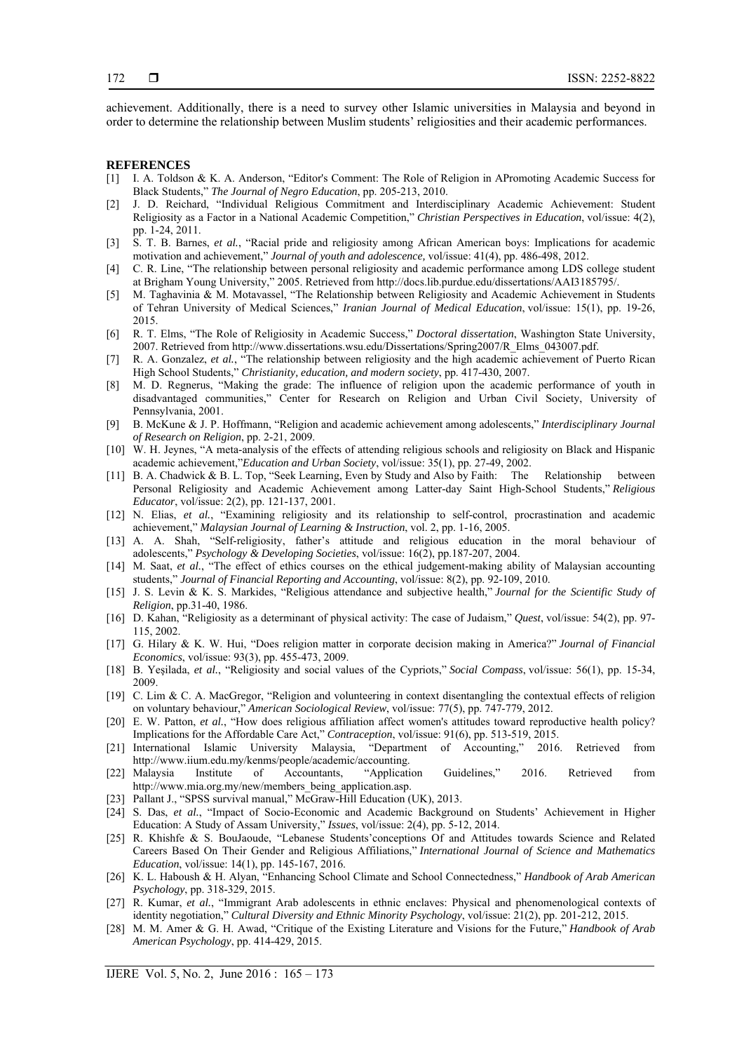achievement. Additionally, there is a need to survey other Islamic universities in Malaysia and beyond in order to determine the relationship between Muslim students' religiosities and their academic performances.

#### **REFERENCES**

- [1] I. A. Toldson & K. A. Anderson, "Editor's Comment: The Role of Religion in APromoting Academic Success for Black Students," *The Journal of Negro Education*, pp. 205-213, 2010.
- [2] J. D. Reichard, "Individual Religious Commitment and Interdisciplinary Academic Achievement: Student Religiosity as a Factor in a National Academic Competition," *Christian Perspectives in Education*, vol/issue: 4(2), pp. 1-24, 2011.
- [3] S. T. B. Barnes, *et al.*, "Racial pride and religiosity among African American boys: Implications for academic motivation and achievement," *Journal of youth and adolescence,* vol/issue: 41(4), pp. 486-498, 2012.
- [4] C. R. Line, "The relationship between personal religiosity and academic performance among LDS college student at Brigham Young University," 2005. Retrieved from http://docs.lib.purdue.edu/dissertations/AAI3185795/.
- [5] M. Taghavinia & M. Motavassel, "The Relationship between Religiosity and Academic Achievement in Students of Tehran University of Medical Sciences," *Iranian Journal of Medical Education*, vol/issue: 15(1), pp. 19-26, 2015.
- [6] R. T. Elms, "The Role of Religiosity in Academic Success," *Doctoral dissertation*, Washington State University, 2007. Retrieved from http://www.dissertations.wsu.edu/Dissertations/Spring2007/R\_Elms\_043007.pdf.
- [7] R. A. Gonzalez, *et al.*, "The relationship between religiosity and the high academic achievement of Puerto Rican High School Students," *Christianity, education, and modern society*, pp. 417-430, 2007.
- [8] M. D. Regnerus, "Making the grade: The influence of religion upon the academic performance of youth in disadvantaged communities," Center for Research on Religion and Urban Civil Society, University of Pennsylvania, 2001.
- [9] B. McKune & J. P. Hoffmann, "Religion and academic achievement among adolescents," *Interdisciplinary Journal of Research on Religion*, pp. 2-21, 2009.
- [10] W. H. Jeynes, "A meta-analysis of the effects of attending religious schools and religiosity on Black and Hispanic academic achievement,"*Education and Urban Society*, vol/issue: 35(1), pp. 27-49, 2002.
- [11] B. A. Chadwick & B. L. Top, "Seek Learning, Even by Study and Also by Faith: The Relationship between Personal Religiosity and Academic Achievement among Latter-day Saint High-School Students," *Religious Educator*, vol/issue: 2(2), pp. 121-137, 2001.
- [12] N. Elias, *et al.*, "Examining religiosity and its relationship to self-control, procrastination and academic achievement," *Malaysian Journal of Learning & Instruction*, vol. 2, pp. 1-16, 2005.
- [13] A. A. Shah, "Self-religiosity, father's attitude and religious education in the moral behaviour of adolescents," *Psychology & Developing Societies*, vol/issue: 16(2), pp.187-207, 2004.
- [14] M. Saat, *et al.*, "The effect of ethics courses on the ethical judgement-making ability of Malaysian accounting students," *Journal of Financial Reporting and Accounting*, vol/issue: 8(2), pp. 92-109, 2010.
- [15] J. S. Levin & K. S. Markides, "Religious attendance and subjective health," *Journal for the Scientific Study of Religion*, pp.31-40, 1986.
- [16] D. Kahan, "Religiosity as a determinant of physical activity: The case of Judaism," *Quest*, vol/issue: 54(2), pp. 97- 115, 2002.
- [17] G. Hilary & K. W. Hui, "Does religion matter in corporate decision making in America?" *Journal of Financial Economics*, vol/issue: 93(3), pp. 455-473, 2009.
- [18] B. Yeşilada, *et al.*, "Religiosity and social values of the Cypriots," *Social Compass*, vol/issue: 56(1), pp. 15-34, 2009.
- [19] C. Lim & C. A. MacGregor, "Religion and volunteering in context disentangling the contextual effects of religion on voluntary behaviour," *American Sociological Review*, vol/issue: 77(5), pp. 747-779, 2012.
- [20] E. W. Patton, *et al.*, "How does religious affiliation affect women's attitudes toward reproductive health policy? Implications for the Affordable Care Act," *Contraception*, vol/issue: 91(6), pp. 513-519, 2015.
- [21] International Islamic University Malaysia, "Department of Accounting," 2016. Retrieved from http://www.iium.edu.my/kenms/people/academic/accounting.
- [22] Malaysia Institute of Accountants, "Application Guidelines," 2016. Retrieved from http://www.mia.org.my/new/members\_being\_application.asp.
- [23] Pallant J., "SPSS survival manual," McGraw-Hill Education (UK), 2013.
- [24] S. Das, *et al.*, "Impact of Socio-Economic and Academic Background on Students' Achievement in Higher Education: A Study of Assam University," *Issues*, vol/issue: 2(4), pp. 5-12, 2014.
- [25] R. Khishfe & S. BouJaoude, "Lebanese Students'conceptions Of and Attitudes towards Science and Related Careers Based On Their Gender and Religious Affiliations," *International Journal of Science and Mathematics Education*, vol/issue: 14(1), pp. 145-167, 2016.
- [26] K. L. Haboush & H. Alyan, "Enhancing School Climate and School Connectedness," *Handbook of Arab American Psychology*, pp. 318-329, 2015.
- [27] R. Kumar, *et al.*, "Immigrant Arab adolescents in ethnic enclaves: Physical and phenomenological contexts of identity negotiation," *Cultural Diversity and Ethnic Minority Psychology*, vol/issue: 21(2), pp. 201-212, 2015.
- [28] M. M. Amer & G. H. Awad, "Critique of the Existing Literature and Visions for the Future," *Handbook of Arab American Psychology*, pp. 414-429, 2015.